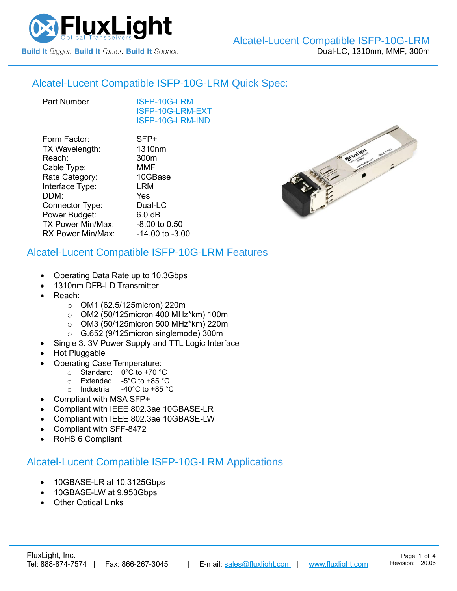

### Alcatel-Lucent Compatible [ISFP-10G-LRM](https://www.fluxlight.com/isfp-10g-lrm/) Quick Spec:

[ISFP-10G-LRM](https://www.fluxlight.com/isfp-10g-lrm/) [ISFP-10G-LRM-](https://www.fluxlight.com/isfp-10g-lrm/)EXT [ISFP-10G-LRM-](https://www.fluxlight.com/isfp-10g-lrm/)IND

| Form Factor:             | SFP+            |
|--------------------------|-----------------|
| TX Wavelength:           | 1310nm          |
| Reach:                   | 300m            |
| Cable Type:              | <b>MMF</b>      |
| Rate Category:           | 10GBase         |
| Interface Type:          | LRM             |
| DDM:                     | Yes             |
| Connector Type:          | Dual-LC         |
| Power Budget:            | 6.0 dB          |
| <b>TX Power Min/Max:</b> | -8.00 to 0.50   |
| RX Power Min/Max:        | -14.00 to -3.00 |
|                          |                 |

### Alcatel-Lucent Compatible [ISFP-10G-LRM](https://www.fluxlight.com/isfp-10g-lrm/) Features

- Operating Data Rate up to 10.3Gbps
- 1310nm DFB-LD Transmitter
- Reach:
	- o OM1 (62.5/125micron) 220m
	- o OM2 (50/125micron 400 MHz\*km) 100m
	- o OM3 (50/125micron 500 MHz\*km) 220m
	- o G.652 (9/125micron singlemode) 300m
	- Single 3. 3V Power Supply and TTL Logic Interface
- Hot Pluggable
- Operating Case Temperature:
	- o Standard: 0°C to +70 °C
	- o Extended -5°C to +85 °C
	- o Industrial -40°C to +85 °C
- Compliant with MSA SFP+
- Compliant with IEEE 802.3ae 10GBASE-LR
- Compliant with IEEE 802.3ae 10GBASE-LW
- Compliant with SFF-8472
- RoHS 6 Compliant

### Alcatel-Lucent Compatible [ISFP-10G-LRM](https://www.fluxlight.com/isfp-10g-lrm/) Applications

- 10GBASE-LR at 10.3125Gbps
- 10GBASE-LW at 9.953Gbps
- **Other Optical Links**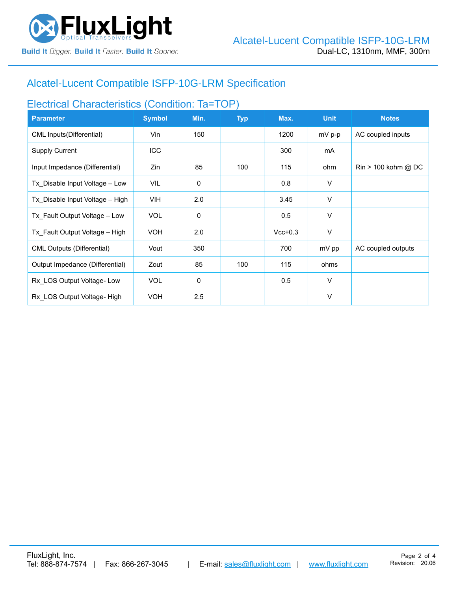

# Alcatel-Lucent Compatible [ISFP-10G-LRM](https://www.fluxlight.com/isfp-10g-lrm/) Specification

## Electrical Characteristics (Condition: Ta=TOP)

| <b>Parameter</b>                  | <b>Symbol</b> | Min.        | <b>Typ</b> | Max.      | <b>Unit</b> | <b>Notes</b>                          |
|-----------------------------------|---------------|-------------|------------|-----------|-------------|---------------------------------------|
| CML Inputs(Differential)          | Vin           | 150         |            | 1200      | $mV$ p-p    | AC coupled inputs                     |
| <b>Supply Current</b>             | <b>ICC</b>    |             |            | 300       | mA          |                                       |
| Input Impedance (Differential)    | Zin           | 85          | 100        | 115       | ohm         | $\text{Rin} > 100 \text{ kohm } @$ DC |
| Tx Disable Input Voltage - Low    | <b>VIL</b>    | $\mathbf 0$ |            | 0.8       | V           |                                       |
| Tx Disable Input Voltage - High   | <b>VIH</b>    | 2.0         |            | 3.45      | $\vee$      |                                       |
| Tx Fault Output Voltage - Low     | <b>VOL</b>    | $\mathbf 0$ |            | 0.5       | V           |                                       |
| Tx Fault Output Voltage - High    | <b>VOH</b>    | 2.0         |            | $Vcc+0.3$ | V           |                                       |
| <b>CML Outputs (Differential)</b> | Vout          | 350         |            | 700       | mV pp       | AC coupled outputs                    |
| Output Impedance (Differential)   | Zout          | 85          | 100        | 115       | ohms        |                                       |
| Rx LOS Output Voltage-Low         | <b>VOL</b>    | 0           |            | 0.5       | $\vee$      |                                       |
| Rx LOS Output Voltage- High       | <b>VOH</b>    | 2.5         |            |           | $\vee$      |                                       |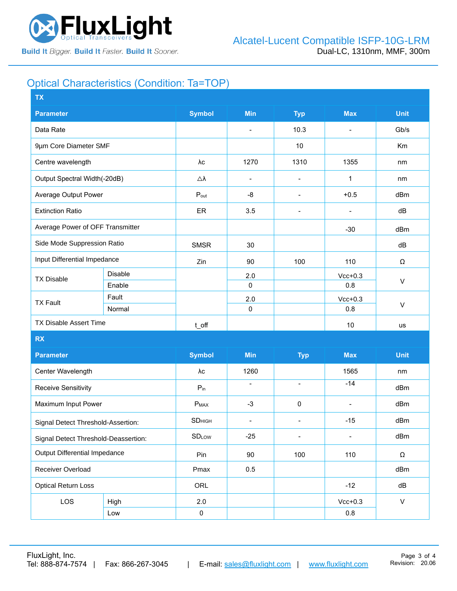

## Optical Characteristics (Condition: Ta=TOP)

| <b>TX</b>                            |         |                  |                          |                              |                          |              |  |
|--------------------------------------|---------|------------------|--------------------------|------------------------------|--------------------------|--------------|--|
| <b>Parameter</b>                     |         |                  | <b>Min</b>               | <b>Typ</b>                   | <b>Max</b>               | <b>Unit</b>  |  |
| Data Rate                            |         |                  | $\blacksquare$           | 10.3                         | $\blacksquare$           | Gb/s         |  |
| 9µm Core Diameter SMF                |         |                  |                          | 10                           |                          | Km           |  |
| Centre wavelength                    |         | λc               | 1270                     | 1310                         | 1355                     | nm           |  |
| Output Spectral Width(-20dB)         |         | Δλ               | $\overline{\phantom{a}}$ | $\overline{\phantom{a}}$     | 1                        | nm           |  |
| Average Output Power                 |         | $P_{\text{out}}$ | -8                       | $\overline{\phantom{a}}$     | $+0.5$                   | dBm          |  |
| <b>Extinction Ratio</b>              |         | ER               | 3.5                      | $\overline{\phantom{a}}$     | $\blacksquare$           | dB           |  |
| Average Power of OFF Transmitter     |         |                  |                          |                              | $-30$                    | dBm          |  |
| Side Mode Suppression Ratio          |         | <b>SMSR</b>      | 30                       |                              |                          | dB           |  |
| Input Differential Impedance         |         | Zin              | 90                       | 100                          | 110                      | Ω            |  |
| <b>TX Disable</b>                    | Disable |                  | 2.0                      |                              | $Vcc+0.3$                | $\vee$       |  |
|                                      | Enable  |                  | $\mathbf 0$              |                              | 0.8                      |              |  |
| <b>TX Fault</b>                      | Fault   |                  | 2.0                      |                              | $Vcc+0.3$                |              |  |
|                                      | Normal  |                  | $\pmb{0}$                |                              | 0.8                      | $\sf V$      |  |
| TX Disable Assert Time               |         | t_off            |                          |                              | 10                       | us           |  |
| <b>RX</b>                            |         |                  |                          |                              |                          |              |  |
| <b>Parameter</b>                     |         | <b>Symbol</b>    | Min                      | <b>Typ</b>                   | <b>Max</b>               | <b>Unit</b>  |  |
| Center Wavelength                    |         | λс               | 1260                     |                              | 1565                     | nm           |  |
| <b>Receive Sensitivity</b>           |         | $P_{in}$         | $\overline{\phantom{a}}$ | $\blacksquare$               | $-14$                    | dBm          |  |
| Maximum Input Power                  |         | $P_{MAX}$        | $-3$                     | $\pmb{0}$                    | $\overline{\phantom{a}}$ | dBm          |  |
| Signal Detect Threshold-Assertion:   |         | <b>SD</b> HIGH   | $\blacksquare$           | $\overline{\phantom{a}}$     | $-15$                    | dBm          |  |
| Signal Detect Threshold-Deassertion: |         | <b>SDLOW</b>     | $-25$                    | $\qquad \qquad \blacksquare$ |                          | dBm          |  |
| <b>Output Differential Impedance</b> |         | Pin              | 90                       | 100                          | 110                      | Ω            |  |
| Receiver Overload                    |         | Pmax             | 0.5                      |                              |                          | dBm          |  |
| <b>Optical Return Loss</b>           |         | ORL              |                          |                              | $-12$                    | dB           |  |
| LOS                                  | High    | 2.0              |                          |                              | $Vcc+0.3$                | $\mathsf{V}$ |  |
|                                      | Low     | $\pmb{0}$        |                          |                              | $0.8\,$                  |              |  |